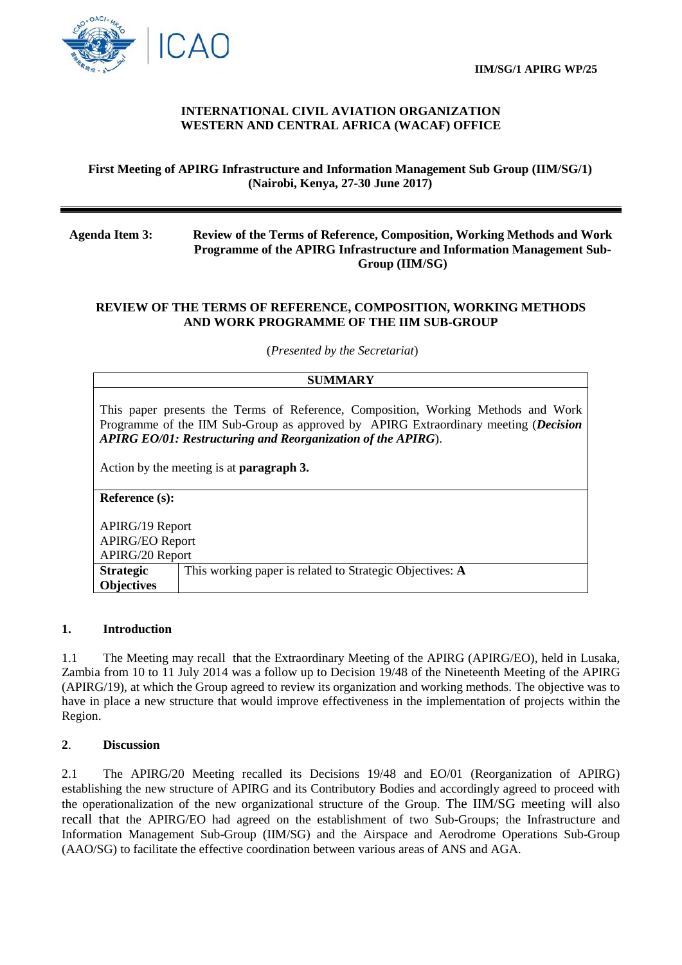



# **INTERNATIONAL CIVIL AVIATION ORGANIZATION WESTERN AND CENTRAL AFRICA (WACAF) OFFICE**

# **First Meeting of APIRG Infrastructure and Information Management Sub Group (IIM/SG/1) (Nairobi, Kenya, 27-30 June 2017)**

### **Agenda Item 3: Review of the Terms of Reference, Composition, Working Methods and Work Programme of the APIRG Infrastructure and Information Management Sub-Group (IIM/SG)**

# **REVIEW OF THE TERMS OF REFERENCE, COMPOSITION, WORKING METHODS AND WORK PROGRAMME OF THE IIM SUB-GROUP**

(*Presented by the Secretariat*)

#### **SUMMARY**

This paper presents the Terms of Reference, Composition, Working Methods and Work Programme of the IIM Sub-Group as approved by APIRG Extraordinary meeting (*Decision APIRG EO/01: Restructuring and Reorganization of the APIRG*).

Action by the meeting is at **paragraph 3.**

**Reference (s):**

APIRG/19 Report APIRG/EO Report APIRG/20 Report **Strategic Objectives** This working paper is related to Strategic Objectives: **A**

### **1. Introduction**

1.1 The Meeting may recall that the Extraordinary Meeting of the APIRG (APIRG/EO), held in Lusaka, Zambia from 10 to 11 July 2014 was a follow up to Decision 19/48 of the Nineteenth Meeting of the APIRG (APIRG/19), at which the Group agreed to review its organization and working methods. The objective was to have in place a new structure that would improve effectiveness in the implementation of projects within the Region.

### **2**. **Discussion**

2.1 The APIRG/20 Meeting recalled its Decisions 19/48 and EO/01 (Reorganization of APIRG) establishing the new structure of APIRG and its Contributory Bodies and accordingly agreed to proceed with the operationalization of the new organizational structure of the Group. The IIM/SG meeting will also recall that the APIRG/EO had agreed on the establishment of two Sub-Groups; the Infrastructure and Information Management Sub-Group (IIM/SG) and the Airspace and Aerodrome Operations Sub-Group (AAO/SG) to facilitate the effective coordination between various areas of ANS and AGA.